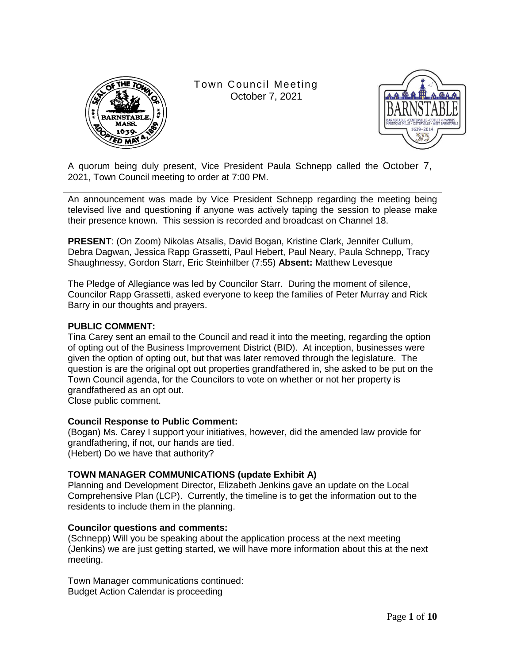

Town Council Meeting October 7, 2021



A quorum being duly present, Vice President Paula Schnepp called the October 7, 2021, Town Council meeting to order at 7:00 PM.

An announcement was made by Vice President Schnepp regarding the meeting being televised live and questioning if anyone was actively taping the session to please make their presence known. This session is recorded and broadcast on Channel 18.

**PRESENT**: (On Zoom) Nikolas Atsalis, David Bogan, Kristine Clark, Jennifer Cullum, Debra Dagwan, Jessica Rapp Grassetti, Paul Hebert, Paul Neary, Paula Schnepp, Tracy Shaughnessy, Gordon Starr, Eric Steinhilber (7:55) **Absent:** Matthew Levesque

The Pledge of Allegiance was led by Councilor Starr. During the moment of silence, Councilor Rapp Grassetti, asked everyone to keep the families of Peter Murray and Rick Barry in our thoughts and prayers.

## **PUBLIC COMMENT:**

Tina Carey sent an email to the Council and read it into the meeting, regarding the option of opting out of the Business Improvement District (BID). At inception, businesses were given the option of opting out, but that was later removed through the legislature. The question is are the original opt out properties grandfathered in, she asked to be put on the Town Council agenda, for the Councilors to vote on whether or not her property is grandfathered as an opt out.

Close public comment.

## **Council Response to Public Comment:**

(Bogan) Ms. Carey I support your initiatives, however, did the amended law provide for grandfathering, if not, our hands are tied. (Hebert) Do we have that authority?

## **TOWN MANAGER COMMUNICATIONS (update Exhibit A)**

Planning and Development Director, Elizabeth Jenkins gave an update on the Local Comprehensive Plan (LCP). Currently, the timeline is to get the information out to the residents to include them in the planning.

#### **Councilor questions and comments:**

(Schnepp) Will you be speaking about the application process at the next meeting (Jenkins) we are just getting started, we will have more information about this at the next meeting.

Town Manager communications continued: Budget Action Calendar is proceeding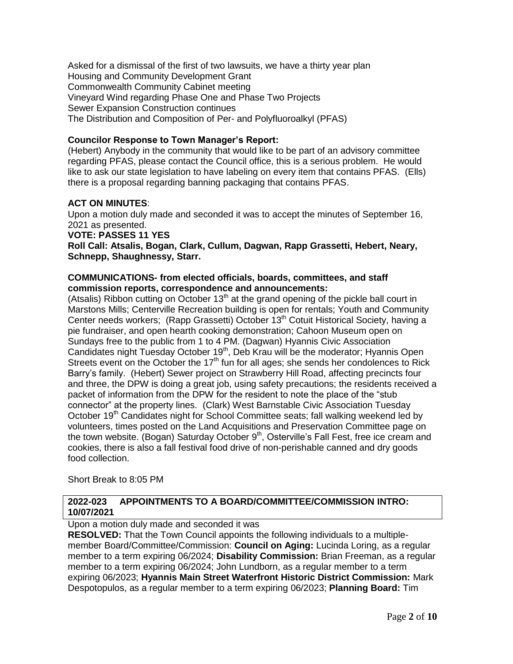Asked for a dismissal of the first of two lawsuits, we have a thirty year plan Housing and Community Development Grant Commonwealth Community Cabinet meeting Vineyard Wind regarding Phase One and Phase Two Projects Sewer Expansion Construction continues The Distribution and Composition of Per- and Polyfluoroalkyl (PFAS)

## **Councilor Response to Town Manager's Report:**

(Hebert) Anybody in the community that would like to be part of an advisory committee regarding PFAS, please contact the Council office, this is a serious problem. He would like to ask our state legislation to have labeling on every item that contains PFAS. (Ells) there is a proposal regarding banning packaging that contains PFAS.

## **ACT ON MINUTES**:

Upon a motion duly made and seconded it was to accept the minutes of September 16, 2021 as presented.

**VOTE: PASSES 11 YES**

**Roll Call: Atsalis, Bogan, Clark, Cullum, Dagwan, Rapp Grassetti, Hebert, Neary, Schnepp, Shaughnessy, Starr.**

## **COMMUNICATIONS- from elected officials, boards, committees, and staff commission reports, correspondence and announcements:**

(Atsalis) Ribbon cutting on October 13<sup>th</sup> at the grand opening of the pickle ball court in Marstons Mills; Centerville Recreation building is open for rentals; Youth and Community Center needs workers; (Rapp Grassetti) October 13<sup>th</sup> Cotuit Historical Society, having a pie fundraiser, and open hearth cooking demonstration; Cahoon Museum open on Sundays free to the public from 1 to 4 PM. (Dagwan) Hyannis Civic Association Candidates night Tuesday October 19<sup>th</sup>, Deb Krau will be the moderator; Hyannis Open Streets event on the October the  $17<sup>th</sup>$  fun for all ages; she sends her condolences to Rick Barry"s family. (Hebert) Sewer project on Strawberry Hill Road, affecting precincts four and three, the DPW is doing a great job, using safety precautions; the residents received a packet of information from the DPW for the resident to note the place of the "stub connector" at the property lines. (Clark) West Barnstable Civic Association Tuesday October 19<sup>th</sup> Candidates night for School Committee seats; fall walking weekend led by volunteers, times posted on the Land Acquisitions and Preservation Committee page on the town website. (Bogan) Saturday October  $9<sup>th</sup>$ , Osterville's Fall Fest, free ice cream and cookies, there is also a fall festival food drive of non-perishable canned and dry goods food collection.

Short Break to 8:05 PM

## **2022-023 APPOINTMENTS TO A BOARD/COMMITTEE/COMMISSION INTRO: 10/07/2021**

Upon a motion duly made and seconded it was

**RESOLVED:** That the Town Council appoints the following individuals to a multiplemember Board/Committee/Commission: **Council on Aging:** Lucinda Loring, as a regular member to a term expiring 06/2024; **Disability Commission:** Brian Freeman, as a regular member to a term expiring 06/2024; John Lundborn, as a regular member to a term expiring 06/2023; **Hyannis Main Street Waterfront Historic District Commission:** Mark Despotopulos, as a regular member to a term expiring 06/2023; **Planning Board:** Tim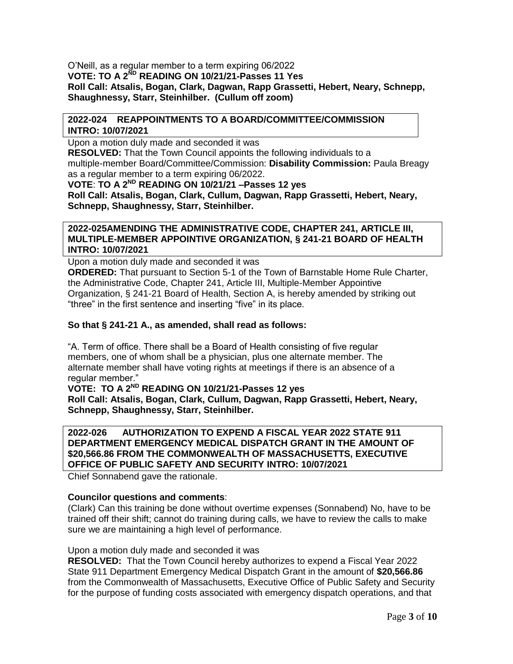O"Neill, as a regular member to a term expiring 06/2022 **VOTE: TO A 2ND READING ON 10/21/21-Passes 11 Yes Roll Call: Atsalis, Bogan, Clark, Dagwan, Rapp Grassetti, Hebert, Neary, Schnepp, Shaughnessy, Starr, Steinhilber. (Cullum off zoom)**

## **2022-024 REAPPOINTMENTS TO A BOARD/COMMITTEE/COMMISSION INTRO: 10/07/2021**

Upon a motion duly made and seconded it was

**RESOLVED:** That the Town Council appoints the following individuals to a multiple-member Board/Committee/Commission: **Disability Commission:** Paula Breagy as a regular member to a term expiring 06/2022. **VOTE**: **TO A 2ND READING ON 10/21/21 –Passes 12 yes**

**Roll Call: Atsalis, Bogan, Clark, Cullum, Dagwan, Rapp Grassetti, Hebert, Neary, Schnepp, Shaughnessy, Starr, Steinhilber.** 

## **2022-025AMENDING THE ADMINISTRATIVE CODE, CHAPTER 241, ARTICLE III, MULTIPLE-MEMBER APPOINTIVE ORGANIZATION, § 241-21 BOARD OF HEALTH INTRO: 10/07/2021**

Upon a motion duly made and seconded it was **ORDERED:** That pursuant to Section 5-1 of the Town of Barnstable Home Rule Charter, the Administrative Code, Chapter 241, Article III, Multiple-Member Appointive Organization, § 241-21 Board of Health, Section A, is hereby amended by striking out "three" in the first sentence and inserting "five" in its place.

## **So that § 241-21 A., as amended, shall read as follows:**

"A. Term of office. There shall be a Board of Health consisting of five regular members, one of whom shall be a physician, plus one alternate member. The alternate member shall have voting rights at meetings if there is an absence of a regular member."

## **VOTE: TO A 2ND READING ON 10/21/21-Passes 12 yes**

**Roll Call: Atsalis, Bogan, Clark, Cullum, Dagwan, Rapp Grassetti, Hebert, Neary, Schnepp, Shaughnessy, Starr, Steinhilber.** 

## **2022-026 AUTHORIZATION TO EXPEND A FISCAL YEAR 2022 STATE 911 DEPARTMENT EMERGENCY MEDICAL DISPATCH GRANT IN THE AMOUNT OF \$20,566.86 FROM THE COMMONWEALTH OF MASSACHUSETTS, EXECUTIVE OFFICE OF PUBLIC SAFETY AND SECURITY INTRO: 10/07/2021**

Chief Sonnabend gave the rationale.

## **Councilor questions and comments**:

(Clark) Can this training be done without overtime expenses (Sonnabend) No, have to be trained off their shift; cannot do training during calls, we have to review the calls to make sure we are maintaining a high level of performance.

## Upon a motion duly made and seconded it was

**RESOLVED:** That the Town Council hereby authorizes to expend a Fiscal Year 2022 State 911 Department Emergency Medical Dispatch Grant in the amount of **\$20,566.86** from the Commonwealth of Massachusetts, Executive Office of Public Safety and Security for the purpose of funding costs associated with emergency dispatch operations, and that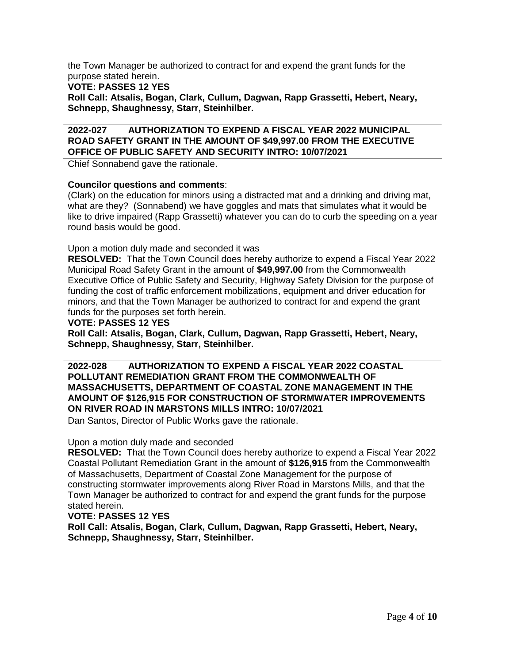the Town Manager be authorized to contract for and expend the grant funds for the purpose stated herein.

**VOTE: PASSES 12 YES**

**Roll Call: Atsalis, Bogan, Clark, Cullum, Dagwan, Rapp Grassetti, Hebert, Neary, Schnepp, Shaughnessy, Starr, Steinhilber.** 

## **2022-027 AUTHORIZATION TO EXPEND A FISCAL YEAR 2022 MUNICIPAL ROAD SAFETY GRANT IN THE AMOUNT OF \$49,997.00 FROM THE EXECUTIVE OFFICE OF PUBLIC SAFETY AND SECURITY INTRO: 10/07/2021**

Chief Sonnabend gave the rationale.

## **Councilor questions and comments**:

(Clark) on the education for minors using a distracted mat and a drinking and driving mat, what are they? (Sonnabend) we have goggles and mats that simulates what it would be like to drive impaired (Rapp Grassetti) whatever you can do to curb the speeding on a year round basis would be good.

Upon a motion duly made and seconded it was

**RESOLVED:** That the Town Council does hereby authorize to expend a Fiscal Year 2022 Municipal Road Safety Grant in the amount of **\$49,997.00** from the Commonwealth Executive Office of Public Safety and Security, Highway Safety Division for the purpose of funding the cost of traffic enforcement mobilizations, equipment and driver education for minors, and that the Town Manager be authorized to contract for and expend the grant funds for the purposes set forth herein.

**VOTE: PASSES 12 YES**

**Roll Call: Atsalis, Bogan, Clark, Cullum, Dagwan, Rapp Grassetti, Hebert, Neary, Schnepp, Shaughnessy, Starr, Steinhilber.** 

## **2022-028 AUTHORIZATION TO EXPEND A FISCAL YEAR 2022 COASTAL POLLUTANT REMEDIATION GRANT FROM THE COMMONWEALTH OF MASSACHUSETTS, DEPARTMENT OF COASTAL ZONE MANAGEMENT IN THE AMOUNT OF \$126,915 FOR CONSTRUCTION OF STORMWATER IMPROVEMENTS ON RIVER ROAD IN MARSTONS MILLS INTRO: 10/07/2021**

Dan Santos, Director of Public Works gave the rationale.

## Upon a motion duly made and seconded

**RESOLVED:** That the Town Council does hereby authorize to expend a Fiscal Year 2022 Coastal Pollutant Remediation Grant in the amount of **\$126,915** from the Commonwealth of Massachusetts, Department of Coastal Zone Management for the purpose of constructing stormwater improvements along River Road in Marstons Mills, and that the Town Manager be authorized to contract for and expend the grant funds for the purpose stated herein.

## **VOTE: PASSES 12 YES**

**Roll Call: Atsalis, Bogan, Clark, Cullum, Dagwan, Rapp Grassetti, Hebert, Neary, Schnepp, Shaughnessy, Starr, Steinhilber.**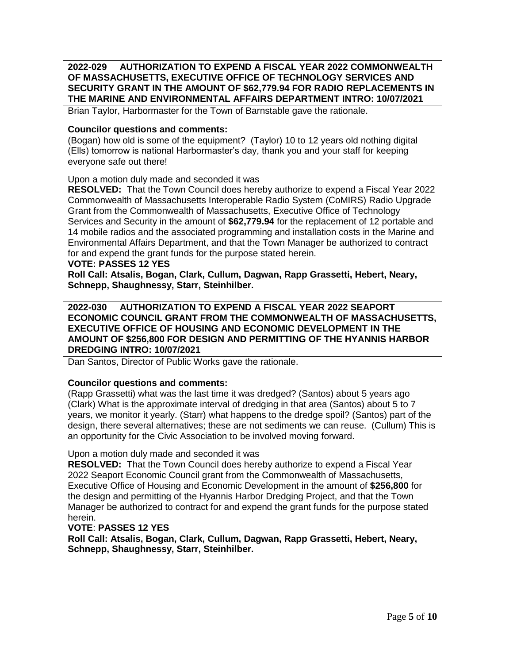**2022-029 AUTHORIZATION TO EXPEND A FISCAL YEAR 2022 COMMONWEALTH OF MASSACHUSETTS, EXECUTIVE OFFICE OF TECHNOLOGY SERVICES AND SECURITY GRANT IN THE AMOUNT OF \$62,779.94 FOR RADIO REPLACEMENTS IN THE MARINE AND ENVIRONMENTAL AFFAIRS DEPARTMENT INTRO: 10/07/2021**

Brian Taylor, Harbormaster for the Town of Barnstable gave the rationale.

## **Councilor questions and comments:**

(Bogan) how old is some of the equipment? (Taylor) 10 to 12 years old nothing digital (Ells) tomorrow is national Harbormaster"s day, thank you and your staff for keeping everyone safe out there!

## Upon a motion duly made and seconded it was

**RESOLVED:** That the Town Council does hereby authorize to expend a Fiscal Year 2022 Commonwealth of Massachusetts Interoperable Radio System (CoMIRS) Radio Upgrade Grant from the Commonwealth of Massachusetts, Executive Office of Technology Services and Security in the amount of **\$62,779.94** for the replacement of 12 portable and 14 mobile radios and the associated programming and installation costs in the Marine and Environmental Affairs Department, and that the Town Manager be authorized to contract for and expend the grant funds for the purpose stated herein.

#### **VOTE: PASSES 12 YES**

**Roll Call: Atsalis, Bogan, Clark, Cullum, Dagwan, Rapp Grassetti, Hebert, Neary, Schnepp, Shaughnessy, Starr, Steinhilber.** 

**2022-030 AUTHORIZATION TO EXPEND A FISCAL YEAR 2022 SEAPORT ECONOMIC COUNCIL GRANT FROM THE COMMONWEALTH OF MASSACHUSETTS, EXECUTIVE OFFICE OF HOUSING AND ECONOMIC DEVELOPMENT IN THE AMOUNT OF \$256,800 FOR DESIGN AND PERMITTING OF THE HYANNIS HARBOR DREDGING INTRO: 10/07/2021**

Dan Santos, Director of Public Works gave the rationale.

## **Councilor questions and comments:**

(Rapp Grassetti) what was the last time it was dredged? (Santos) about 5 years ago (Clark) What is the approximate interval of dredging in that area (Santos) about 5 to 7 years, we monitor it yearly. (Starr) what happens to the dredge spoil? (Santos) part of the design, there several alternatives; these are not sediments we can reuse. (Cullum) This is an opportunity for the Civic Association to be involved moving forward.

## Upon a motion duly made and seconded it was

**RESOLVED:** That the Town Council does hereby authorize to expend a Fiscal Year 2022 Seaport Economic Council grant from the Commonwealth of Massachusetts, Executive Office of Housing and Economic Development in the amount of **\$256,800** for the design and permitting of the Hyannis Harbor Dredging Project, and that the Town Manager be authorized to contract for and expend the grant funds for the purpose stated herein.

## **VOTE**: **PASSES 12 YES**

**Roll Call: Atsalis, Bogan, Clark, Cullum, Dagwan, Rapp Grassetti, Hebert, Neary, Schnepp, Shaughnessy, Starr, Steinhilber.**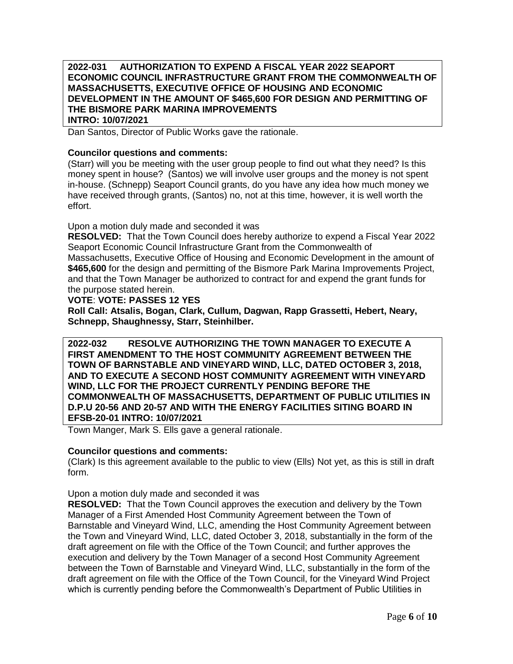## **2022-031 AUTHORIZATION TO EXPEND A FISCAL YEAR 2022 SEAPORT ECONOMIC COUNCIL INFRASTRUCTURE GRANT FROM THE COMMONWEALTH OF MASSACHUSETTS, EXECUTIVE OFFICE OF HOUSING AND ECONOMIC DEVELOPMENT IN THE AMOUNT OF \$465,600 FOR DESIGN AND PERMITTING OF THE BISMORE PARK MARINA IMPROVEMENTS INTRO: 10/07/2021**

Dan Santos, Director of Public Works gave the rationale.

## **Councilor questions and comments:**

(Starr) will you be meeting with the user group people to find out what they need? Is this money spent in house? (Santos) we will involve user groups and the money is not spent in-house. (Schnepp) Seaport Council grants, do you have any idea how much money we have received through grants, (Santos) no, not at this time, however, it is well worth the effort.

Upon a motion duly made and seconded it was

**RESOLVED:** That the Town Council does hereby authorize to expend a Fiscal Year 2022 Seaport Economic Council Infrastructure Grant from the Commonwealth of Massachusetts, Executive Office of Housing and Economic Development in the amount of **\$465,600** for the design and permitting of the Bismore Park Marina Improvements Project, and that the Town Manager be authorized to contract for and expend the grant funds for the purpose stated herein.

## **VOTE**: **VOTE: PASSES 12 YES**

**Roll Call: Atsalis, Bogan, Clark, Cullum, Dagwan, Rapp Grassetti, Hebert, Neary, Schnepp, Shaughnessy, Starr, Steinhilber.** 

**2022-032 RESOLVE AUTHORIZING THE TOWN MANAGER TO EXECUTE A FIRST AMENDMENT TO THE HOST COMMUNITY AGREEMENT BETWEEN THE TOWN OF BARNSTABLE AND VINEYARD WIND, LLC, DATED OCTOBER 3, 2018, AND TO EXECUTE A SECOND HOST COMMUNITY AGREEMENT WITH VINEYARD WIND, LLC FOR THE PROJECT CURRENTLY PENDING BEFORE THE COMMONWEALTH OF MASSACHUSETTS, DEPARTMENT OF PUBLIC UTILITIES IN D.P.U 20-56 AND 20-57 AND WITH THE ENERGY FACILITIES SITING BOARD IN EFSB-20-01 INTRO: 10/07/2021**

Town Manger, Mark S. Ells gave a general rationale.

## **Councilor questions and comments:**

(Clark) Is this agreement available to the public to view (Ells) Not yet, as this is still in draft form.

## Upon a motion duly made and seconded it was

**RESOLVED:** That the Town Council approves the execution and delivery by the Town Manager of a First Amended Host Community Agreement between the Town of Barnstable and Vineyard Wind, LLC, amending the Host Community Agreement between the Town and Vineyard Wind, LLC, dated October 3, 2018, substantially in the form of the draft agreement on file with the Office of the Town Council; and further approves the execution and delivery by the Town Manager of a second Host Community Agreement between the Town of Barnstable and Vineyard Wind, LLC, substantially in the form of the draft agreement on file with the Office of the Town Council, for the Vineyard Wind Project which is currently pending before the Commonwealth's Department of Public Utilities in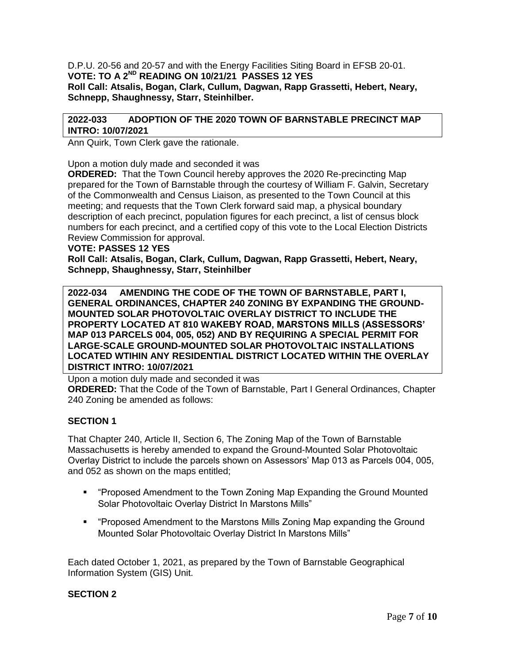D.P.U. 20-56 and 20-57 and with the Energy Facilities Siting Board in EFSB 20-01. **VOTE: TO A 2ND READING ON 10/21/21 PASSES 12 YES Roll Call: Atsalis, Bogan, Clark, Cullum, Dagwan, Rapp Grassetti, Hebert, Neary, Schnepp, Shaughnessy, Starr, Steinhilber.** 

## **2022-033 ADOPTION OF THE 2020 TOWN OF BARNSTABLE PRECINCT MAP INTRO: 10/07/2021**

Ann Quirk, Town Clerk gave the rationale.

Upon a motion duly made and seconded it was

**ORDERED:** That the Town Council hereby approves the 2020 Re-precincting Map prepared for the Town of Barnstable through the courtesy of William F. Galvin, Secretary of the Commonwealth and Census Liaison, as presented to the Town Council at this meeting; and requests that the Town Clerk forward said map, a physical boundary description of each precinct, population figures for each precinct, a list of census block numbers for each precinct, and a certified copy of this vote to the Local Election Districts Review Commission for approval.

**VOTE: PASSES 12 YES**

**Roll Call: Atsalis, Bogan, Clark, Cullum, Dagwan, Rapp Grassetti, Hebert, Neary, Schnepp, Shaughnessy, Starr, Steinhilber**

**2022-034 AMENDING THE CODE OF THE TOWN OF BARNSTABLE, PART I, GENERAL ORDINANCES, CHAPTER 240 ZONING BY EXPANDING THE GROUND-MOUNTED SOLAR PHOTOVOLTAIC OVERLAY DISTRICT TO INCLUDE THE PROPERTY LOCATED AT 810 WAKEBY ROAD, MARSTONS MILLS (ASSESSORS' MAP 013 PARCELS 004, 005, 052) AND BY REQUIRING A SPECIAL PERMIT FOR LARGE-SCALE GROUND-MOUNTED SOLAR PHOTOVOLTAIC INSTALLATIONS LOCATED WTIHIN ANY RESIDENTIAL DISTRICT LOCATED WITHIN THE OVERLAY DISTRICT INTRO: 10/07/2021**

Upon a motion duly made and seconded it was

**ORDERED:** That the Code of the Town of Barnstable, Part I General Ordinances, Chapter 240 Zoning be amended as follows:

## **SECTION 1**

That Chapter 240, Article II, Section 6, The Zoning Map of the Town of Barnstable Massachusetts is hereby amended to expand the Ground-Mounted Solar Photovoltaic Overlay District to include the parcels shown on Assessors" Map 013 as Parcels 004, 005, and 052 as shown on the maps entitled;

- "Proposed Amendment to the Town Zoning Map Expanding the Ground Mounted Solar Photovoltaic Overlay District In Marstons Mills"
- "Proposed Amendment to the Marstons Mills Zoning Map expanding the Ground Mounted Solar Photovoltaic Overlay District In Marstons Mills"

Each dated October 1, 2021, as prepared by the Town of Barnstable Geographical Information System (GIS) Unit.

## **SECTION 2**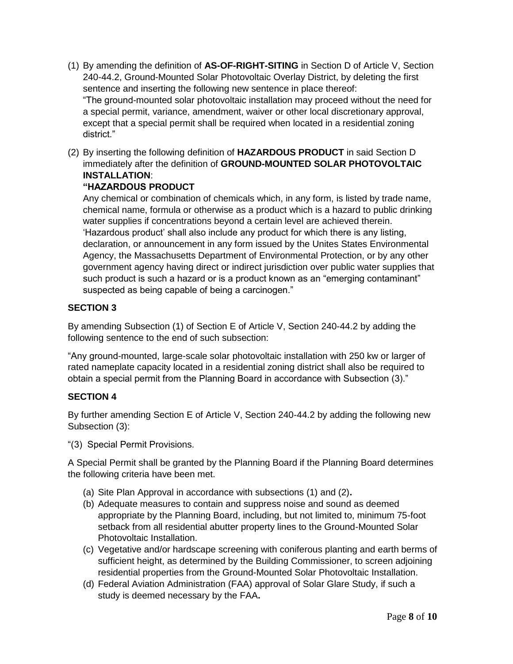- (1) By amending the definition of **AS-OF-RIGHT-SITING** in Section D of Article V, Section 240-44.2, Ground-Mounted Solar Photovoltaic Overlay District, by deleting the first sentence and inserting the following new sentence in place thereof: "The ground-mounted solar photovoltaic installation may proceed without the need for a special permit, variance, amendment, waiver or other local discretionary approval, except that a special permit shall be required when located in a residential zoning district."
- (2) By inserting the following definition of **HAZARDOUS PRODUCT** in said Section D immediately after the definition of **GROUND-MOUNTED SOLAR PHOTOVOLTAIC INSTALLATION**:

## **"HAZARDOUS PRODUCT**

Any chemical or combination of chemicals which, in any form, is listed by trade name, chemical name, formula or otherwise as a product which is a hazard to public drinking water supplies if concentrations beyond a certain level are achieved therein. "Hazardous product" shall also include any product for which there is any listing, declaration, or announcement in any form issued by the Unites States Environmental Agency, the Massachusetts Department of Environmental Protection, or by any other government agency having direct or indirect jurisdiction over public water supplies that such product is such a hazard or is a product known as an "emerging contaminant" suspected as being capable of being a carcinogen."

## **SECTION 3**

By amending Subsection (1) of Section E of Article V, Section 240-44.2 by adding the following sentence to the end of such subsection:

"Any ground-mounted, large-scale solar photovoltaic installation with 250 kw or larger of rated nameplate capacity located in a residential zoning district shall also be required to obtain a special permit from the Planning Board in accordance with Subsection (3)."

## **SECTION 4**

By further amending Section E of Article V, Section 240-44.2 by adding the following new Subsection (3):

"(3) Special Permit Provisions.

A Special Permit shall be granted by the Planning Board if the Planning Board determines the following criteria have been met.

- (a) Site Plan Approval in accordance with subsections (1) and (2)**.**
- (b) Adequate measures to contain and suppress noise and sound as deemed appropriate by the Planning Board, including, but not limited to, minimum 75-foot setback from all residential abutter property lines to the Ground-Mounted Solar Photovoltaic Installation.
- (c) Vegetative and/or hardscape screening with coniferous planting and earth berms of sufficient height, as determined by the Building Commissioner, to screen adjoining residential properties from the Ground-Mounted Solar Photovoltaic Installation.
- (d) Federal Aviation Administration (FAA) approval of Solar Glare Study, if such a study is deemed necessary by the FAA**.**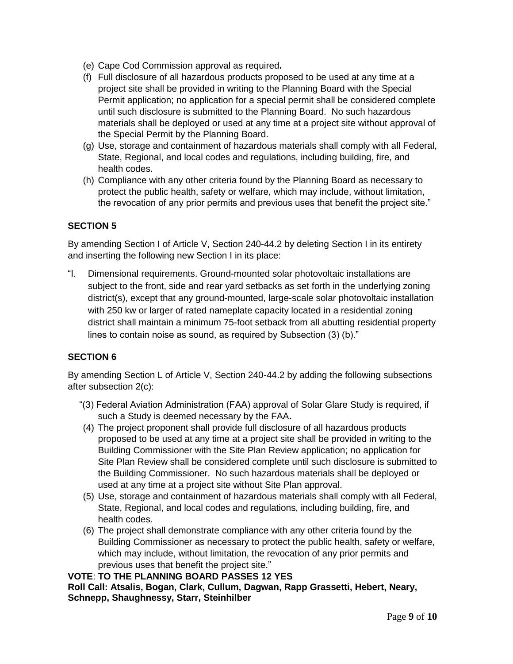- (e) Cape Cod Commission approval as required**.**
- (f) Full disclosure of all hazardous products proposed to be used at any time at a project site shall be provided in writing to the Planning Board with the Special Permit application; no application for a special permit shall be considered complete until such disclosure is submitted to the Planning Board. No such hazardous materials shall be deployed or used at any time at a project site without approval of the Special Permit by the Planning Board.
- (g) Use, storage and containment of hazardous materials shall comply with all Federal, State, Regional, and local codes and regulations, including building, fire, and health codes.
- (h) Compliance with any other criteria found by the Planning Board as necessary to protect the public health, safety or welfare, which may include, without limitation, the revocation of any prior permits and previous uses that benefit the project site."

## **SECTION 5**

By amending Section I of Article V, Section 240-44.2 by deleting Section I in its entirety and inserting the following new Section I in its place:

"I. Dimensional requirements. Ground-mounted solar photovoltaic installations are subject to the front, side and rear yard setbacks as set forth in the underlying zoning district(s), except that any ground-mounted, large-scale solar photovoltaic installation with 250 kw or larger of rated nameplate capacity located in a residential zoning district shall maintain a minimum 75-foot setback from all abutting residential property lines to contain noise as sound, as required by Subsection (3) (b)."

## **SECTION 6**

By amending Section L of Article V, Section 240-44.2 by adding the following subsections after subsection 2(c):

- "(3) Federal Aviation Administration (FAA) approval of Solar Glare Study is required, if such a Study is deemed necessary by the FAA**.**
- (4) The project proponent shall provide full disclosure of all hazardous products proposed to be used at any time at a project site shall be provided in writing to the Building Commissioner with the Site Plan Review application; no application for Site Plan Review shall be considered complete until such disclosure is submitted to the Building Commissioner. No such hazardous materials shall be deployed or used at any time at a project site without Site Plan approval.
- (5) Use, storage and containment of hazardous materials shall comply with all Federal, State, Regional, and local codes and regulations, including building, fire, and health codes.
- (6) The project shall demonstrate compliance with any other criteria found by the Building Commissioner as necessary to protect the public health, safety or welfare, which may include, without limitation, the revocation of any prior permits and previous uses that benefit the project site."

**VOTE**: **TO THE PLANNING BOARD PASSES 12 YES Roll Call: Atsalis, Bogan, Clark, Cullum, Dagwan, Rapp Grassetti, Hebert, Neary, Schnepp, Shaughnessy, Starr, Steinhilber**